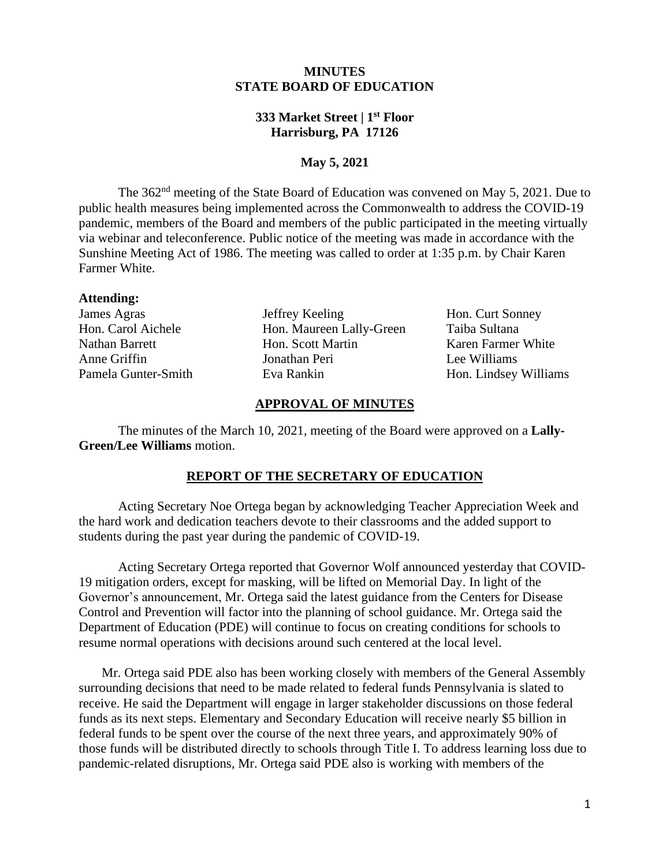## **MINUTES STATE BOARD OF EDUCATION**

# **333 Market Street | 1st Floor Harrisburg, PA 17126**

# **May 5, 2021**

The 362<sup>nd</sup> meeting of the State Board of Education was convened on May 5, 2021. Due to public health measures being implemented across the Commonwealth to address the COVID-19 pandemic, members of the Board and members of the public participated in the meeting virtually via webinar and teleconference. Public notice of the meeting was made in accordance with the Sunshine Meeting Act of 1986. The meeting was called to order at 1:35 p.m. by Chair Karen Farmer White.

#### **Attending:**

James Agras Jeffrey Keeling Hon. Curt Sonney Hon. Carol Aichele Hon. Maureen Lally-Green Taiba Sultana Nathan Barrett **Hon.** Scott Martin Karen Farmer White Anne Griffin Jonathan Peri Lee Williams Pamela Gunter-Smith Eva Rankin Hon. Lindsey Williams

#### **APPROVAL OF MINUTES**

The minutes of the March 10, 2021, meeting of the Board were approved on a **Lally-Green/Lee Williams** motion.

#### **REPORT OF THE SECRETARY OF EDUCATION**

Acting Secretary Noe Ortega began by acknowledging Teacher Appreciation Week and the hard work and dedication teachers devote to their classrooms and the added support to students during the past year during the pandemic of COVID-19.

Acting Secretary Ortega reported that Governor Wolf announced yesterday that COVID-19 mitigation orders, except for masking, will be lifted on Memorial Day. In light of the Governor's announcement, Mr. Ortega said the latest guidance from the Centers for Disease Control and Prevention will factor into the planning of school guidance. Mr. Ortega said the Department of Education (PDE) will continue to focus on creating conditions for schools to resume normal operations with decisions around such centered at the local level.

Mr. Ortega said PDE also has been working closely with members of the General Assembly surrounding decisions that need to be made related to federal funds Pennsylvania is slated to receive. He said the Department will engage in larger stakeholder discussions on those federal funds as its next steps. Elementary and Secondary Education will receive nearly \$5 billion in federal funds to be spent over the course of the next three years, and approximately 90% of those funds will be distributed directly to schools through Title I. To address learning loss due to pandemic-related disruptions, Mr. Ortega said PDE also is working with members of the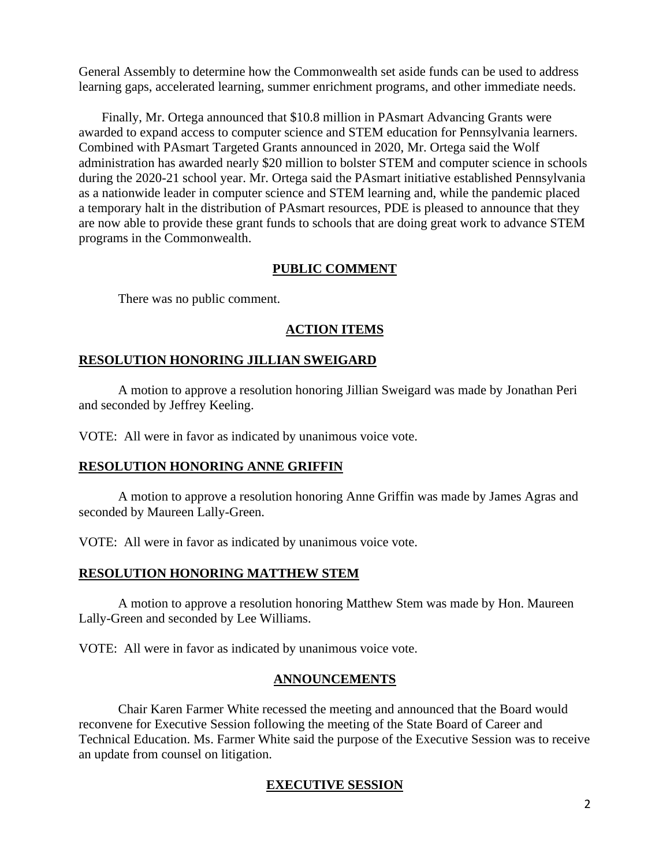General Assembly to determine how the Commonwealth set aside funds can be used to address learning gaps, accelerated learning, summer enrichment programs, and other immediate needs.

Finally, Mr. Ortega announced that \$10.8 million in [PAsmart Advancing Grants](https://www.education.pa.gov/Policy-Funding/SchoolGrants/PAsmart/Pages/AdvancingGrants.aspx2Bczzs%3D&reserved=0) were awarded to expand access to computer science and STEM education for Pennsylvania learners. Combined with PAsmart Targeted Grants announced in 2020, Mr. Ortega said the Wolf administration has awarded nearly \$20 million to bolster STEM and computer science in schools during the 2020-21 school year. Mr. Ortega said the PAsmart initiative established Pennsylvania as a nationwide leader in computer science and STEM learning and, while the pandemic placed a temporary halt in the distribution of PAsmart resources, PDE is pleased to announce that they are now able to provide these grant funds to schools that are doing great work to advance STEM programs in the Commonwealth.

# **PUBLIC COMMENT**

There was no public comment.

# **ACTION ITEMS**

### **RESOLUTION HONORING JILLIAN SWEIGARD**

A motion to approve a resolution honoring Jillian Sweigard was made by Jonathan Peri and seconded by Jeffrey Keeling.

VOTE: All were in favor as indicated by unanimous voice vote.

### **RESOLUTION HONORING ANNE GRIFFIN**

A motion to approve a resolution honoring Anne Griffin was made by James Agras and seconded by Maureen Lally-Green.

VOTE: All were in favor as indicated by unanimous voice vote.

### **RESOLUTION HONORING MATTHEW STEM**

A motion to approve a resolution honoring Matthew Stem was made by Hon. Maureen Lally-Green and seconded by Lee Williams.

VOTE: All were in favor as indicated by unanimous voice vote.

### **ANNOUNCEMENTS**

 reconvene for Executive Session following the meeting of the State Board of Career and Chair Karen Farmer White recessed the meeting and announced that the Board would Technical Education. Ms. Farmer White said the purpose of the Executive Session was to receive an update from counsel on litigation.

## **EXECUTIVE SESSION**